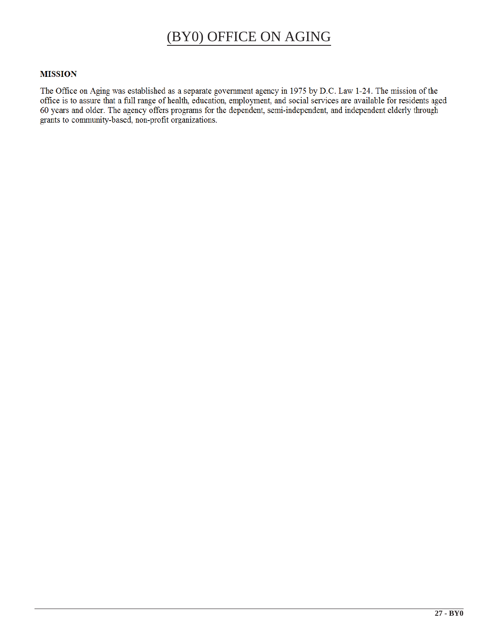# (BY0) OFFICE ON AGING

# **MISSION**

The Office on Aging was established as a separate government agency in 1975 by D.C. Law 1-24. The mission of the office is to assure that a full range of health, education, employment, and social services are available for residents aged 60 years and older. The agency offers programs for the dependent, semi-independent, and independent elderly through grants to community-based, non-profit organizations.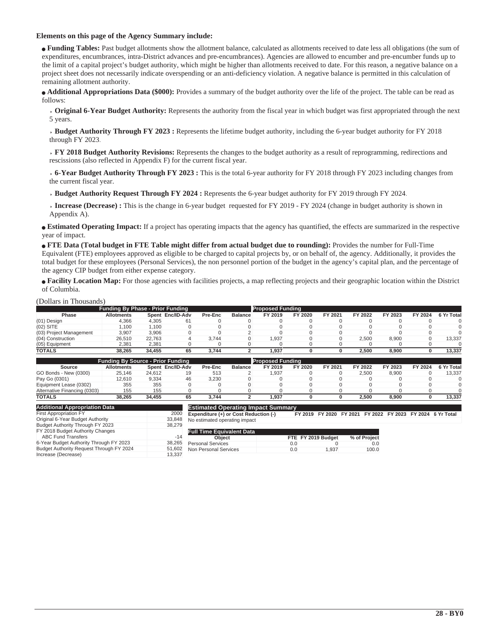# **Elements on this page of the Agency Summary include:**

<sup>Q</sup> **Funding Tables:** Past budget allotments show the allotment balance, calculated as allotments received to date less all obligations (the sum of expenditures, encumbrances, intra-District advances and pre-encumbrances). Agencies are allowed to encumber and pre-encumber funds up to the limit of a capital project's budget authority, which might be higher than allotments received to date. For this reason, a negative balance on a project sheet does not necessarily indicate overspending or an anti-deficiency violation. A negative balance is permitted in this calculation of remaining allotment authority.

<sup>Q</sup> **Additional Appropriations Data (\$000):** Provides a summary of the budget authority over the life of the project. The table can be read as follows:

 **Original 6-Year Budget Authority:** Represents the authority from the fiscal year in which budget was first appropriated through the next 5 years.

 **Budget Authority Through FY 2023 :** Represents the lifetime budget authority, including the 6-year budget authority for FY 2018 through FY 2023.

 **FY 2018 Budget Authority Revisions:** Represents the changes to the budget authority as a result of reprogramming, redirections and rescissions (also reflected in Appendix F) for the current fiscal year.

 **6-Year Budget Authority Through FY 2023 :** This is the total 6-year authority for FY 2018 through FY 2023 including changes from the current fiscal year.

 **Budget Authority Request Through FY 2024 :** Represents the 6-year budget authority for FY 2019 through FY 2024.

**Increase (Decrease) :** This is the change in 6-year budget requested for FY 2019 - FY 2024 (change in budget authority is shown in Appendix A).

**Estimated Operating Impact:** If a project has operating impacts that the agency has quantified, the effects are summarized in the respective year of impact.

<sup>Q</sup> **FTE Data (Total budget in FTE Table might differ from actual budget due to rounding):** Provides the number for Full-Time Equivalent (FTE) employees approved as eligible to be charged to capital projects by, or on behalf of, the agency. Additionally, it provides the total budget for these employees (Personal Services), the non personnel portion of the budget in the agency's capital plan, and the percentage of the agency CIP budget from either expense category.

<sup>Q</sup> **Facility Location Map:** For those agencies with facilities projects, a map reflecting projects and their geographic location within the District of Columbia.

#### (Dollars in Thousands)

| <b>Funding By Phase - Prior Funding</b> |                   |        |                  |         |                |         | <b>Proposed Funding</b> |         |         |         |         |            |  |  |  |
|-----------------------------------------|-------------------|--------|------------------|---------|----------------|---------|-------------------------|---------|---------|---------|---------|------------|--|--|--|
| <b>Phase</b>                            | <b>Allotments</b> |        | Spent Enc/ID-Adv | Pre-Enc | <b>Balance</b> | FY 2019 | FY 2020                 | FY 2021 | FY 2022 | FY 2023 | FY 2024 | 6 Yr Total |  |  |  |
| (01) Design                             | 4.366             | 4.305  | 61               |         |                |         |                         |         |         |         |         |            |  |  |  |
| $(02)$ SITE                             | 1.100             | 1.100  |                  |         |                |         |                         |         |         |         |         |            |  |  |  |
| (03) Project Management                 | 3.907             | 3.906  |                  |         |                |         |                         |         |         |         |         |            |  |  |  |
| (04) Construction                       | 26.510            | 22.763 |                  | 3.744   |                | .937    |                         |         | 2.500   | 8.900   |         | 13.337     |  |  |  |
| (05) Equipment                          | 2.381             | 2.381  |                  |         |                |         |                         |         |         |         |         |            |  |  |  |
| <b>TOTALS</b>                           | 38.265            | 34.455 | 65               | 3.744   |                | .937    |                         |         | 2.500   | 8.900   |         | 13.337     |  |  |  |
|                                         |                   |        |                  |         |                |         |                         |         |         |         |         |            |  |  |  |

|                              | <b>Funding By Source - Prior Funding</b> |        |                  |         |                |         | <b>Proposed Funding</b> |         |         |         |         |            |  |  |  |
|------------------------------|------------------------------------------|--------|------------------|---------|----------------|---------|-------------------------|---------|---------|---------|---------|------------|--|--|--|
| Source                       | <b>Allotments</b>                        |        | Spent Enc/ID-Adv | Pre-Enc | <b>Balance</b> | FY 2019 | FY 2020                 | FY 2021 | FY 2022 | FY 2023 | FY 2024 | 6 Yr Total |  |  |  |
| GO Bonds - New (0300)        | 25.146                                   | 24.612 |                  | 513     |                | .937    |                         |         | 2.500   | 8.900   |         | 13.337     |  |  |  |
| Pay Go (0301)                | 12.610                                   | 9.334  |                  | 3.230   |                |         |                         |         |         |         |         |            |  |  |  |
| Equipment Lease (0302)       | 355                                      | 355    |                  |         |                |         |                         |         |         |         |         |            |  |  |  |
| Alternative Financing (0303) | 155                                      | 155    |                  |         |                |         |                         |         |         |         |         |            |  |  |  |
| <b>TOTALS</b>                | 38.265                                   | 34.455 | 65               | 3.744   |                | .937    |                         |         | 2.500   | 8.900   |         | 13.337     |  |  |  |

| <b>Additional Appropriation Data</b>                          |        |
|---------------------------------------------------------------|--------|
| <b>First Appropriation FY</b>                                 | 2000   |
| Original 6-Year Budget Authority                              | 33.848 |
| Budget Authority Through FY 2023                              | 38.279 |
| FY 2018 Budget Authority Changes<br><b>ABC Fund Transfers</b> | $-14$  |
| 6-Year Budget Authority Through FY 2023                       | 38.265 |
| Budget Authority Request Through FY 2024                      | 51.602 |
| Increase (Decrease)                                           | 13.337 |

**Estimated Operating Impact Summ**<br>**Expenditure (+) or Cost Reduction (-) Expenditure (+) or Cost Reduction (-) FY 2019 FY 2020 FY 2021 FY 2022 FY 2023 FY 2024 6 Yr Total** No estimated operating impact

| <b>Full Time Equivalent Data</b> |     |                    |              |
|----------------------------------|-----|--------------------|--------------|
| Object                           |     | FTE FY 2019 Budget | % of Project |
| <b>Personal Services</b>         | 0.0 |                    | 0.0          |
| Non Personal Services            | 0.0 | 1.937              | 100.0        |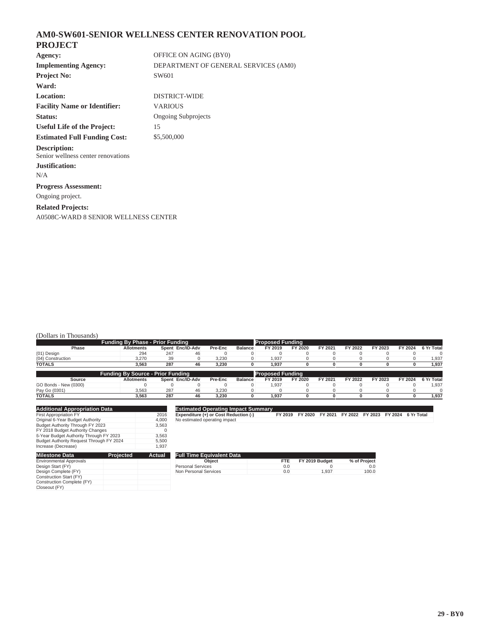# **AM0-SW601-SENIOR WELLNESS CENTER RENOVATION POOL PROJECT**

| Agency:                                                   | OFFICE ON AGING (BY0)                |
|-----------------------------------------------------------|--------------------------------------|
| <b>Implementing Agency:</b>                               | DEPARTMENT OF GENERAL SERVICES (AM0) |
| <b>Project No:</b>                                        | SW601                                |
| Ward:                                                     |                                      |
| Location:                                                 | <b>DISTRICT-WIDE</b>                 |
| <b>Facility Name or Identifier:</b>                       | <b>VARIOUS</b>                       |
| Status:                                                   | <b>Ongoing Subprojects</b>           |
| <b>Useful Life of the Project:</b>                        | 15                                   |
| <b>Estimated Full Funding Cost:</b>                       | \$5,500,000                          |
| <b>Description:</b><br>Senior wellness center renovations |                                      |
| Justification:                                            |                                      |
| N/A                                                       |                                      |
| <b>Progress Assessment:</b>                               |                                      |
| Ongoing project.                                          |                                      |
| <b>Related Projects:</b>                                  |                                      |
| A0508C-WARD 8 SENIOR WELLNESS CENTER                      |                                      |

# (Dollars in Thousands)

| <b>Funding By Phase - Prior Funding</b> |                                          |     |                  |         |         |                         | <b>Proposed Funding</b> |         |         |         |         |            |  |
|-----------------------------------------|------------------------------------------|-----|------------------|---------|---------|-------------------------|-------------------------|---------|---------|---------|---------|------------|--|
| Phase                                   | <b>Allotments</b>                        |     | Spent Enc/ID-Adv | Pre-Enc | Balance | FY 2019                 | FY 2020                 | FY 2021 | FY 2022 | FY 2023 | FY 2024 | 6 Yr Total |  |
| (01) Design                             | 294                                      | 247 | 46               |         |         |                         |                         |         |         |         |         |            |  |
| (04) Construction                       | 3.270                                    | 39  |                  | 3.230   |         | 1.937                   |                         |         |         |         |         | 1,937      |  |
| <b>TOTALS</b>                           | 3.563                                    | 287 | 46               | 3.230   |         | 1.937                   |                         |         |         |         |         | 1,937      |  |
|                                         |                                          |     |                  |         |         |                         |                         |         |         |         |         |            |  |
|                                         | <b>Funding By Source - Prior Funding</b> |     |                  |         |         | <b>Proposed Funding</b> |                         |         |         |         |         |            |  |
| Source                                  | <b>Allotments</b>                        |     | Spent Enc/ID-Adv | Pre-Enc | Balance | FY 2019                 | FY 2020                 | FY 2021 | FY 2022 | FY 2023 | FY 2024 | 6 Yr Total |  |
| GO Bonds - New (0300)                   |                                          |     |                  |         |         | 1.937                   |                         |         |         |         |         | 1.937      |  |
| Pay Go (0301)                           | 3.563                                    | 287 | 46               | 3.230   |         |                         |                         |         |         |         |         |            |  |
| <b>TOTALS</b>                           | 3.563                                    | 287 | 46               | 3.230   |         | 1.937                   |                         |         |         |         |         | 1,937      |  |

| <b>Additional Appropriation Data</b>     |       |
|------------------------------------------|-------|
| <b>First Appropriation FY</b>            | 2016  |
| Original 6-Year Budget Authority         | 4.000 |
| Budget Authority Through FY 2023         | 3.563 |
| FY 2018 Budget Authority Changes         | O     |
| 6-Year Budget Authority Through FY 2023  | 3.563 |
| Budget Authority Request Through FY 2024 | 5.500 |
| Increase (Decrease)                      | 1.937 |

#### **Estimated Operating Impact Summary**

**Expenditure (+) or Cost Reduction (-) FY 2019 FY 2020 FY 2021 FY 2022 FY 2023 FY 2024 6 Yr Total** No estimated operating impact

| <b>Milestone Data</b>          | Projected | Actual |
|--------------------------------|-----------|--------|
| <b>Environmental Approvals</b> |           |        |
| Design Start (FY)              |           |        |
| Design Complete (FY)           |           |        |
| Construction Start (FY)        |           |        |
| Construction Complete (FY)     |           |        |
| Closeout (FY)                  |           |        |

| <b>Full Time Equivalent Data</b> |      |                |              |
|----------------------------------|------|----------------|--------------|
| Object                           | FTE. | FY 2019 Budget | % of Project |
| <b>Personal Services</b>         | 0.0  |                | 0.0          |
| Non Personal Services            | 0.0  | 1.937          | 100.0        |